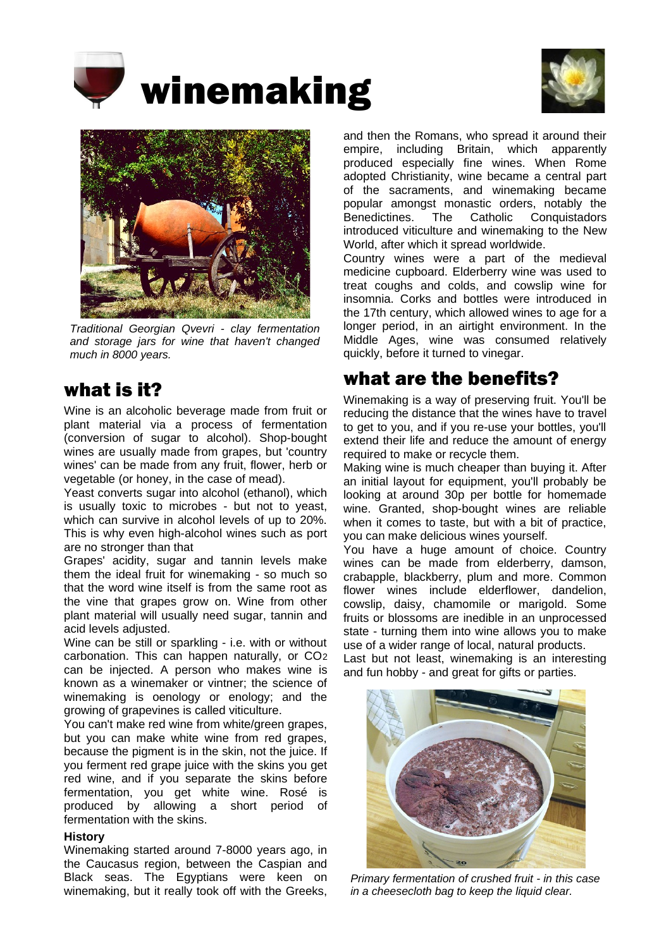





*Traditional Georgian Qvevri - clay fermentation and storage jars for wine that haven't changed much in 8000 years.* 

## what is it?

Wine is an alcoholic beverage made from fruit or plant material via a process of fermentation (conversion of sugar to alcohol). Shop-bought wines are usually made from grapes, but 'country wines' can be made from any fruit, flower, herb or vegetable (or honey, in the case of mead).

Yeast converts sugar into alcohol (ethanol), which is usually toxic to microbes - but not to yeast, which can survive in alcohol levels of up to 20%. This is why even high-alcohol wines such as port are no stronger than that

Grapes' acidity, sugar and tannin levels make them the ideal fruit for winemaking - so much so that the word wine itself is from the same root as the vine that grapes grow on. Wine from other plant material will usually need sugar, tannin and acid levels adjusted.

Wine can be still or sparkling - i.e. with or without carbonation. This can happen naturally, or CO2 can be injected. A person who makes wine is known as a winemaker or vintner; the science of winemaking is oenology or enology; and the growing of grapevines is called viticulture.

You can't make red wine from white/green grapes, but you can make white wine from red grapes, because the pigment is in the skin, not the juice. If you ferment red grape juice with the skins you get red wine, and if you separate the skins before fermentation, you get white wine. Rosé is produced by allowing a short period of fermentation with the skins.

### **History**

Winemaking started around 7-8000 years ago, in the Caucasus region, between the Caspian and Black seas. The Egyptians were keen on winemaking, but it really took off with the Greeks,

and then the Romans, who spread it around their empire, including Britain, which apparently produced especially fine wines. When Rome adopted Christianity, wine became a central part of the sacraments, and winemaking became popular amongst monastic orders, notably the Benedictines. The Catholic Conquistadors introduced viticulture and winemaking to the New World, after which it spread worldwide.

Country wines were a part of the medieval medicine cupboard. Elderberry wine was used to treat coughs and colds, and cowslip wine for insomnia. Corks and bottles were introduced in the 17th century, which allowed wines to age for a longer period, in an airtight environment. In the Middle Ages, wine was consumed relatively quickly, before it turned to vinegar.

## what are the benefits?

Winemaking is a way of preserving fruit. You'll be reducing the distance that the wines have to travel to get to you, and if you re-use your bottles, you'll extend their life and reduce the amount of energy required to make or recycle them.

Making wine is much cheaper than buying it. After an initial layout for equipment, you'll probably be looking at around 30p per bottle for homemade wine. Granted, shop-bought wines are reliable when it comes to taste, but with a bit of practice, you can make delicious wines yourself.

You have a huge amount of choice. Country wines can be made from elderberry, damson, crabapple, blackberry, plum and more. Common flower wines include elderflower, dandelion, cowslip, daisy, chamomile or marigold. Some fruits or blossoms are inedible in an unprocessed state - turning them into wine allows you to make use of a wider range of local, natural products.

Last but not least, winemaking is an interesting and fun hobby - and great for gifts or parties.



*Primary fermentation of crushed fruit - in this case in a cheesecloth bag to keep the liquid clear.*